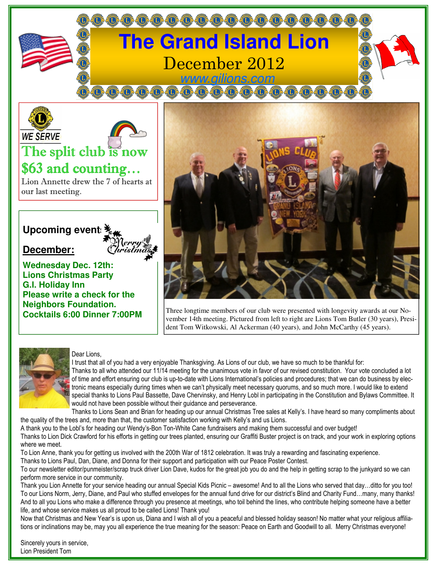





# The split club is now \$63 and counting…

Lion Annette drew the 7 of hearts at our last meeting.

## **Upcoming event:**  $\frac{3}{2}$

### **December:**

**Wednesday Dec. 12th: Lions Christmas Party G.I. Holiday Inn Please write a check for the Neighbors Foundation. Cocktails 6:00 Dinner 7:00PM** 



Three longtime members of our club were presented with longevity awards at our November 14th meeting. Pictured from left to right are Lions Tom Butler (30 years), President Tom Witkowski, Al Ackerman (40 years), and John McCarthy (45 years).



#### Dear Lions,

I trust that all of you had a very enjoyable Thanksgiving. As Lions of our club, we have so much to be thankful for: Thanks to all who attended our 11/14 meeting for the unanimous vote in favor of our revised constitution. Your vote concluded a lot of time and effort ensuring our club is up-to-date with Lions International's policies and procedures; that we can do business by electronic means especially during times when we can't physically meet necessary quorums, and so much more. I would like to extend special thanks to Lions Paul Bassette, Dave Chervinsky, and Henry Lobl in participating in the Constitution and Bylaws Committee. It would not have been possible without their guidance and perseverance.

Thanks to Lions Sean and Brian for heading up our annual Christmas Tree sales at Kelly's. I have heard so many compliments about the quality of the trees and, more than that, the customer satisfaction working with Kelly's and us Lions.

A thank you to the Lobl's for heading our Wendy's-Bon Ton-White Cane fundraisers and making them successful and over budget!

Thanks to Lion Dick Crawford for his efforts in getting our trees planted, ensuring our Graffiti Buster project is on track, and your work in exploring options where we meet.

To Lion Anne, thank you for getting us involved with the 200th War of 1812 celebration. It was truly a rewarding and fascinating experience. Thanks to Lions Paul, Dan, Diane, and Donna for their support and participation with our Peace Poster Contest.

To our newsletter editor/punmeister/scrap truck driver Lion Dave, kudos for the great job you do and the help in getting scrap to the junkyard so we can perform more service in our community.

Thank you Lion Annette for your service heading our annual Special Kids Picnic – awesome! And to all the Lions who served that day…ditto for you too! To our Lions Norm, Jerry, Diane, and Paul who stuffed envelopes for the annual fund drive for our district's Blind and Charity Fund…many, many thanks! And to all you Lions who make a difference through you presence at meetings, who toil behind the lines, who contribute helping someone have a better life, and whose service makes us all proud to be called Lions! Thank you!

Now that Christmas and New Year's is upon us, Diana and I wish all of you a peaceful and blessed holiday season! No matter what your religious affiliations or inclinations may be, may you all experience the true meaning for the season: Peace on Earth and Goodwill to all. Merry Christmas everyone!

Sincerely yours in service, Lion President Tom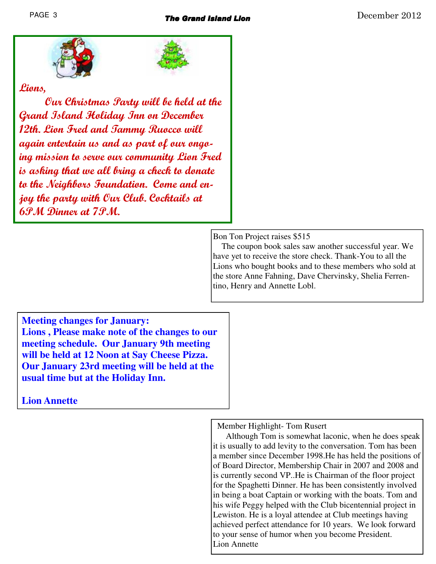

### **Lions,**

 **Our Christmas Party will be held at the Grand Island Holiday Inn on December 12th. Lion Fred and Tammy Ruocco will again entertain us and as part of our ongoing mission to serve our community Lion Fred is asking that we all bring a check to donate to the Neighbors Foundation. Come and enjoy the party with Our Club. Cocktails at 6PM Dinner at 7PM.** 

Bon Ton Project raises \$515

 The coupon book sales saw another successful year. We have yet to receive the store check. Thank-You to all the Lions who bought books and to these members who sold at the store Anne Fahning, Dave Chervinsky, Shelia Ferrentino, Henry and Annette Lobl.

**Meeting changes for January: Lions , Please make note of the changes to our meeting schedule. Our January 9th meeting will be held at 12 Noon at Say Cheese Pizza. Our January 23rd meeting will be held at the usual time but at the Holiday Inn.** 

**Lion Annette** 

Member Highlight- Tom Rusert

 Although Tom is somewhat laconic, when he does speak it is usually to add levity to the conversation. Tom has been a member since December 1998.He has held the positions of of Board Director, Membership Chair in 2007 and 2008 and is currently second VP..He is Chairman of the floor project for the Spaghetti Dinner. He has been consistently involved in being a boat Captain or working with the boats. Tom and his wife Peggy helped with the Club bicentennial project in Lewiston. He is a loyal attendee at Club meetings having achieved perfect attendance for 10 years. We look forward to your sense of humor when you become President. Lion Annette